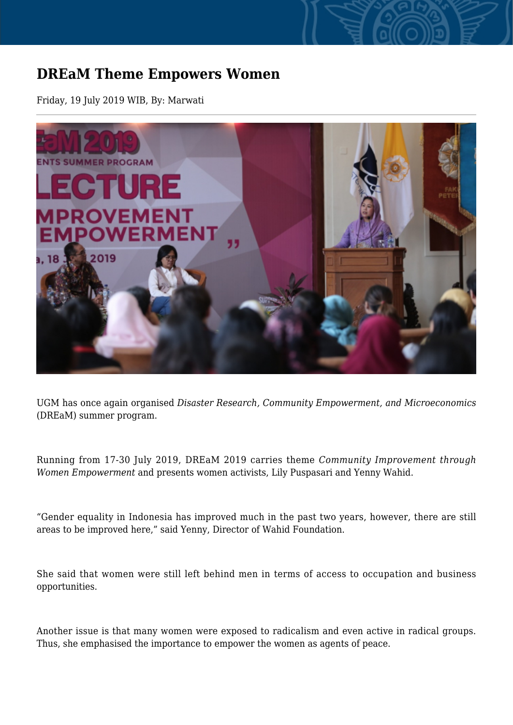## **DREaM Theme Empowers Women**

Friday, 19 July 2019 WIB, By: Marwati



UGM has once again organised *Disaster Research, Community Empowerment, and Microeconomics* (DREaM) summer program.

Running from 17-30 July 2019, DREaM 2019 carries theme *Community Improvement through Women Empowerment* and presents women activists, Lily Puspasari and Yenny Wahid.

"Gender equality in Indonesia has improved much in the past two years, however, there are still areas to be improved here," said Yenny, Director of Wahid Foundation.

She said that women were still left behind men in terms of access to occupation and business opportunities.

Another issue is that many women were exposed to radicalism and even active in radical groups. Thus, she emphasised the importance to empower the women as agents of peace.